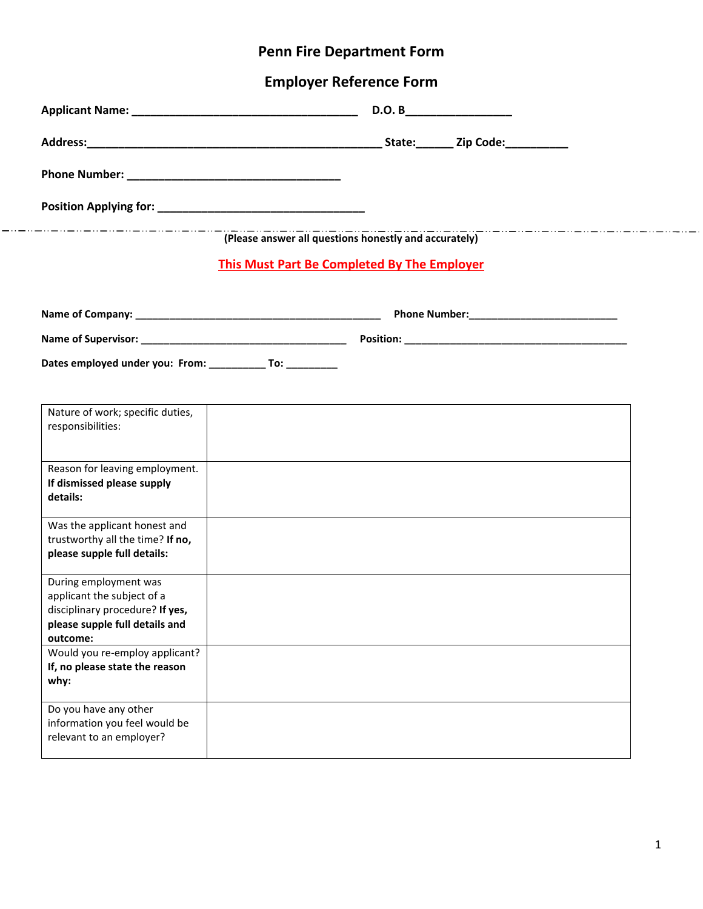## **Penn Fire Department Form**

## **Employer Reference Form**

 $-\cdots -\cdots$ 

|                                                                 | D.O. B                                                                                                                                                                                                                         |  |  |  |  |  |  |
|-----------------------------------------------------------------|--------------------------------------------------------------------------------------------------------------------------------------------------------------------------------------------------------------------------------|--|--|--|--|--|--|
|                                                                 |                                                                                                                                                                                                                                |  |  |  |  |  |  |
|                                                                 |                                                                                                                                                                                                                                |  |  |  |  |  |  |
|                                                                 |                                                                                                                                                                                                                                |  |  |  |  |  |  |
|                                                                 | . _ _ _ _ _ _ _ _ _ _ _ _ _ _ _ _ _<br>(Please answer all questions honestly and accurately)                                                                                                                                   |  |  |  |  |  |  |
| <b>This Must Part Be Completed By The Employer</b>              |                                                                                                                                                                                                                                |  |  |  |  |  |  |
|                                                                 |                                                                                                                                                                                                                                |  |  |  |  |  |  |
|                                                                 |                                                                                                                                                                                                                                |  |  |  |  |  |  |
|                                                                 | Name of Supervisor: Name of Supervisor: Name of Supervisor: Name of Supervisor: Name of Supervisor: Name of Supervisor: Name of Supervisor: Name of Supervisor: Name of Supervisor: Name of Supervisor: Name of Supervisor: Na |  |  |  |  |  |  |
| Dates employed under you: From: ___________ To: _________       |                                                                                                                                                                                                                                |  |  |  |  |  |  |
|                                                                 |                                                                                                                                                                                                                                |  |  |  |  |  |  |
| Nature of work; specific duties,<br>responsibilities:           |                                                                                                                                                                                                                                |  |  |  |  |  |  |
|                                                                 |                                                                                                                                                                                                                                |  |  |  |  |  |  |
| Reason for leaving employment.                                  |                                                                                                                                                                                                                                |  |  |  |  |  |  |
| If dismissed please supply<br>details:                          |                                                                                                                                                                                                                                |  |  |  |  |  |  |
| Was the applicant honest and                                    |                                                                                                                                                                                                                                |  |  |  |  |  |  |
| trustworthy all the time? If no,<br>please supple full details: |                                                                                                                                                                                                                                |  |  |  |  |  |  |
|                                                                 |                                                                                                                                                                                                                                |  |  |  |  |  |  |
| During employment was<br>applicant the subject of a             |                                                                                                                                                                                                                                |  |  |  |  |  |  |
| disciplinary procedure? If yes,                                 |                                                                                                                                                                                                                                |  |  |  |  |  |  |
| please supple full details and<br>outcome:                      |                                                                                                                                                                                                                                |  |  |  |  |  |  |
| Would you re-employ applicant?                                  |                                                                                                                                                                                                                                |  |  |  |  |  |  |
| If, no please state the reason<br>why:                          |                                                                                                                                                                                                                                |  |  |  |  |  |  |
| Do you have any other                                           |                                                                                                                                                                                                                                |  |  |  |  |  |  |
| information you feel would be                                   |                                                                                                                                                                                                                                |  |  |  |  |  |  |
| relevant to an employer?                                        |                                                                                                                                                                                                                                |  |  |  |  |  |  |